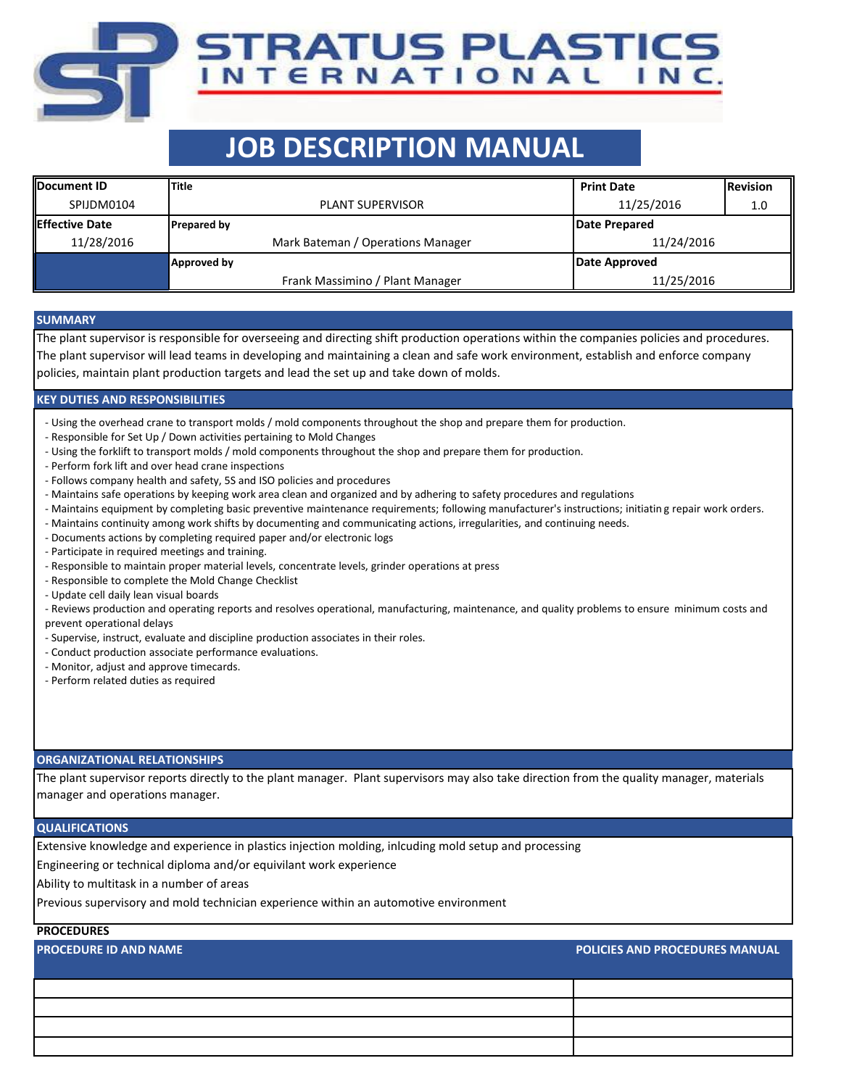# **JOB DESCRIPTION MANUAL**

NTERNATIONAL

**RATUS PLASTICS** 

| <b>IDocument ID</b>    | <b>Title</b>                      | <b>Print Date</b> | <b>Revision</b> |  |
|------------------------|-----------------------------------|-------------------|-----------------|--|
| SPIJDM0104             | <b>PLANT SUPERVISOR</b>           | 11/25/2016        | 1.0             |  |
| <b>IEffective Date</b> | <b>Prepared by</b>                | Date Prepared     |                 |  |
| 11/28/2016             | Mark Bateman / Operations Manager | 11/24/2016        |                 |  |
|                        | Approved by                       | Date Approved     |                 |  |
|                        | Frank Massimino / Plant Manager   | 11/25/2016        |                 |  |

#### **SUMMARY**

The plant supervisor is responsible for overseeing and directing shift production operations within the companies policies and procedures. The plant supervisor will lead teams in developing and maintaining a clean and safe work environment, establish and enforce company policies, maintain plant production targets and lead the set up and take down of molds.

### **KEY DUTIES AND RESPONSIBILITIES**

- Using the overhead crane to transport molds / mold components throughout the shop and prepare them for production.

- Responsible for Set Up / Down activities pertaining to Mold Changes
- Using the forklift to transport molds / mold components throughout the shop and prepare them for production.
- Perform fork lift and over head crane inspections
- Follows company health and safety, 5S and ISO policies and procedures
- Maintains safe operations by keeping work area clean and organized and by adhering to safety procedures and regulations
- Maintains equipment by completing basic preventive maintenance requirements; following manufacturer's instructions; initiatin g repair work orders.
- Maintains continuity among work shifts by documenting and communicating actions, irregularities, and continuing needs.
- Documents actions by completing required paper and/or electronic logs
- Participate in required meetings and training.
- Responsible to maintain proper material levels, concentrate levels, grinder operations at press
- Responsible to complete the Mold Change Checklist
- Update cell daily lean visual boards

- Reviews production and operating reports and resolves operational, manufacturing, maintenance, and quality problems to ensure minimum costs and prevent operational delays

- Supervise, instruct, evaluate and discipline production associates in their roles.
- Conduct production associate performance evaluations.
- Monitor, adjust and approve timecards.
- Perform related duties as required

#### **ORGANIZATIONAL RELATIONSHIPS**

The plant supervisor reports directly to the plant manager. Plant supervisors may also take direction from the quality manager, materials manager and operations manager.

#### **QUALIFICATIONS**

Extensive knowledge and experience in plastics injection molding, inlcuding mold setup and processing

Engineering or technical diploma and/or equivilant work experience

Ability to multitask in a number of areas

Previous supervisory and mold technician experience within an automotive environment

### **PROCEDURES**

**PROCEDURE ID AND NAME POLICIES AND PROCEDURES MANUAL**